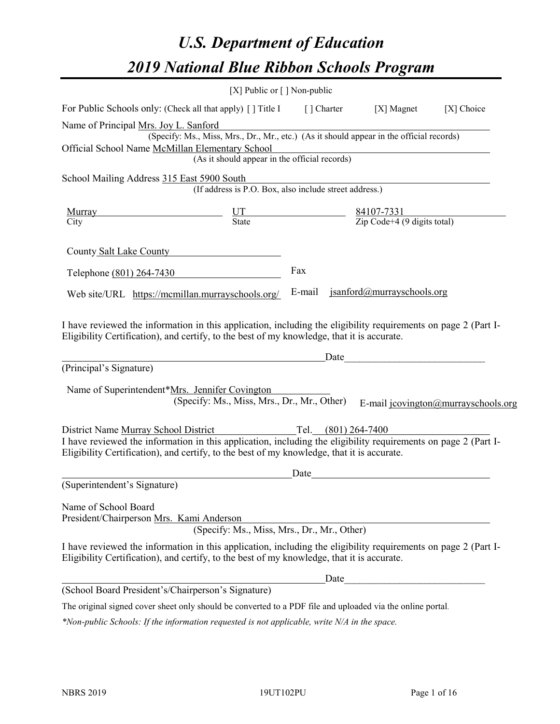# *U.S. Department of Education 2019 National Blue Ribbon Schools Program*

|                                                                                                                                                                                                                                                      | [X] Public or $\lceil$ ] Non-public                                                      |             |                                                                                                                                                                                                                                |                                     |
|------------------------------------------------------------------------------------------------------------------------------------------------------------------------------------------------------------------------------------------------------|------------------------------------------------------------------------------------------|-------------|--------------------------------------------------------------------------------------------------------------------------------------------------------------------------------------------------------------------------------|-------------------------------------|
| For Public Schools only: (Check all that apply) [] Title I                                                                                                                                                                                           |                                                                                          | [ ] Charter | [X] Magnet                                                                                                                                                                                                                     | [X] Choice                          |
| Name of Principal Mrs. Joy L. Sanford                                                                                                                                                                                                                |                                                                                          |             |                                                                                                                                                                                                                                |                                     |
|                                                                                                                                                                                                                                                      | (Specify: Ms., Miss, Mrs., Dr., Mr., etc.) (As it should appear in the official records) |             |                                                                                                                                                                                                                                |                                     |
| Official School Name McMillan Elementary School                                                                                                                                                                                                      |                                                                                          |             |                                                                                                                                                                                                                                |                                     |
|                                                                                                                                                                                                                                                      | (As it should appear in the official records)                                            |             |                                                                                                                                                                                                                                |                                     |
| School Mailing Address 315 East 5900 South                                                                                                                                                                                                           |                                                                                          |             |                                                                                                                                                                                                                                |                                     |
|                                                                                                                                                                                                                                                      | (If address is P.O. Box, also include street address.)                                   |             |                                                                                                                                                                                                                                |                                     |
| Murray                                                                                                                                                                                                                                               | $\frac{UT}{State}$                                                                       | 84107-7331  |                                                                                                                                                                                                                                |                                     |
| City                                                                                                                                                                                                                                                 |                                                                                          |             | Zip Code+4 (9 digits total)                                                                                                                                                                                                    |                                     |
| County Salt Lake County                                                                                                                                                                                                                              |                                                                                          |             |                                                                                                                                                                                                                                |                                     |
| Telephone (801) 264-7430                                                                                                                                                                                                                             |                                                                                          | Fax         |                                                                                                                                                                                                                                |                                     |
| Web site/URL https://mcmillan.murrayschools.org/                                                                                                                                                                                                     |                                                                                          | E-mail      | jsanford@murrayschools.org                                                                                                                                                                                                     |                                     |
| Eligibility Certification), and certify, to the best of my knowledge, that it is accurate.<br>(Principal's Signature)                                                                                                                                |                                                                                          |             | Date and the contract of the contract of the contract of the contract of the contract of the contract of the contract of the contract of the contract of the contract of the contract of the contract of the contract of the c |                                     |
| Name of Superintendent*Mrs. Jennifer Covington                                                                                                                                                                                                       | (Specify: Ms., Miss, Mrs., Dr., Mr., Other)                                              |             |                                                                                                                                                                                                                                |                                     |
|                                                                                                                                                                                                                                                      |                                                                                          |             |                                                                                                                                                                                                                                | E-mail jcovington@murrayschools.org |
|                                                                                                                                                                                                                                                      |                                                                                          |             |                                                                                                                                                                                                                                |                                     |
| District Name Murray School District<br>I have reviewed the information in this application, including the eligibility requirements on page 2 (Part I-<br>Eligibility Certification), and certify, to the best of my knowledge, that it is accurate. |                                                                                          |             |                                                                                                                                                                                                                                |                                     |
|                                                                                                                                                                                                                                                      |                                                                                          | Date        |                                                                                                                                                                                                                                |                                     |
| (Superintendent's Signature)                                                                                                                                                                                                                         |                                                                                          |             |                                                                                                                                                                                                                                |                                     |
| Name of School Board<br>President/Chairperson Mrs. Kami Anderson                                                                                                                                                                                     | (Specify: Ms., Miss, Mrs., Dr., Mr., Other)                                              |             |                                                                                                                                                                                                                                |                                     |
| I have reviewed the information in this application, including the eligibility requirements on page 2 (Part I-<br>Eligibility Certification), and certify, to the best of my knowledge, that it is accurate.                                         |                                                                                          |             |                                                                                                                                                                                                                                |                                     |
|                                                                                                                                                                                                                                                      |                                                                                          | Date        |                                                                                                                                                                                                                                |                                     |
| (School Board President's/Chairperson's Signature)                                                                                                                                                                                                   |                                                                                          |             |                                                                                                                                                                                                                                |                                     |
| The original signed cover sheet only should be converted to a PDF file and uploaded via the online portal.                                                                                                                                           |                                                                                          |             |                                                                                                                                                                                                                                |                                     |

*\*Non-public Schools: If the information requested is not applicable, write N/A in the space.*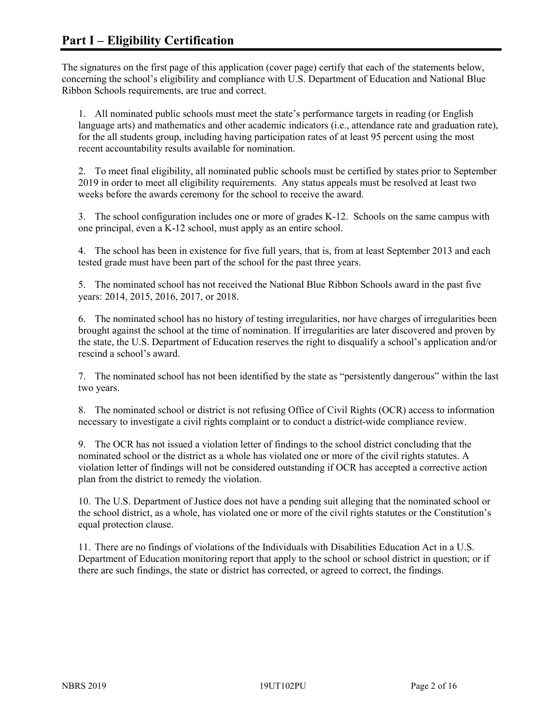The signatures on the first page of this application (cover page) certify that each of the statements below, concerning the school's eligibility and compliance with U.S. Department of Education and National Blue Ribbon Schools requirements, are true and correct.

1. All nominated public schools must meet the state's performance targets in reading (or English language arts) and mathematics and other academic indicators (i.e., attendance rate and graduation rate), for the all students group, including having participation rates of at least 95 percent using the most recent accountability results available for nomination.

2. To meet final eligibility, all nominated public schools must be certified by states prior to September 2019 in order to meet all eligibility requirements. Any status appeals must be resolved at least two weeks before the awards ceremony for the school to receive the award.

3. The school configuration includes one or more of grades K-12. Schools on the same campus with one principal, even a K-12 school, must apply as an entire school.

4. The school has been in existence for five full years, that is, from at least September 2013 and each tested grade must have been part of the school for the past three years.

5. The nominated school has not received the National Blue Ribbon Schools award in the past five years: 2014, 2015, 2016, 2017, or 2018.

6. The nominated school has no history of testing irregularities, nor have charges of irregularities been brought against the school at the time of nomination. If irregularities are later discovered and proven by the state, the U.S. Department of Education reserves the right to disqualify a school's application and/or rescind a school's award.

7. The nominated school has not been identified by the state as "persistently dangerous" within the last two years.

8. The nominated school or district is not refusing Office of Civil Rights (OCR) access to information necessary to investigate a civil rights complaint or to conduct a district-wide compliance review.

9. The OCR has not issued a violation letter of findings to the school district concluding that the nominated school or the district as a whole has violated one or more of the civil rights statutes. A violation letter of findings will not be considered outstanding if OCR has accepted a corrective action plan from the district to remedy the violation.

10. The U.S. Department of Justice does not have a pending suit alleging that the nominated school or the school district, as a whole, has violated one or more of the civil rights statutes or the Constitution's equal protection clause.

11. There are no findings of violations of the Individuals with Disabilities Education Act in a U.S. Department of Education monitoring report that apply to the school or school district in question; or if there are such findings, the state or district has corrected, or agreed to correct, the findings.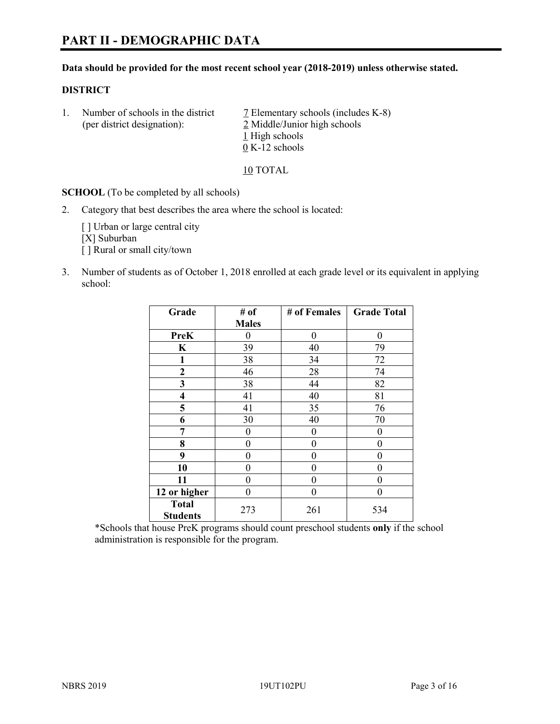#### **Data should be provided for the most recent school year (2018-2019) unless otherwise stated.**

#### **DISTRICT**

1. Number of schools in the district  $\overline{7}$  Elementary schools (includes K-8) (per district designation): 2 Middle/Junior high schools 1 High schools 0 K-12 schools

10 TOTAL

**SCHOOL** (To be completed by all schools)

2. Category that best describes the area where the school is located:

[ ] Urban or large central city [X] Suburban [] Rural or small city/town

3. Number of students as of October 1, 2018 enrolled at each grade level or its equivalent in applying school:

| Grade                           | # of         | # of Females | <b>Grade Total</b> |
|---------------------------------|--------------|--------------|--------------------|
|                                 | <b>Males</b> |              |                    |
| <b>PreK</b>                     | 0            | $\theta$     | 0                  |
| $\mathbf K$                     | 39           | 40           | 79                 |
| 1                               | 38           | 34           | 72                 |
| 2                               | 46           | 28           | 74                 |
| 3                               | 38           | 44           | 82                 |
| $\overline{\mathbf{4}}$         | 41           | 40           | 81                 |
| 5                               | 41           | 35           | 76                 |
| 6                               | 30           | 40           | 70                 |
| 7                               | 0            | $\theta$     | 0                  |
| 8                               | 0            | $\theta$     | 0                  |
| 9                               | 0            | $\theta$     | 0                  |
| 10                              | 0            | 0            | 0                  |
| 11                              | $\theta$     | 0            | 0                  |
| 12 or higher                    | 0            | 0            | 0                  |
| <b>Total</b><br><b>Students</b> | 273          | 261          | 534                |

\*Schools that house PreK programs should count preschool students **only** if the school administration is responsible for the program.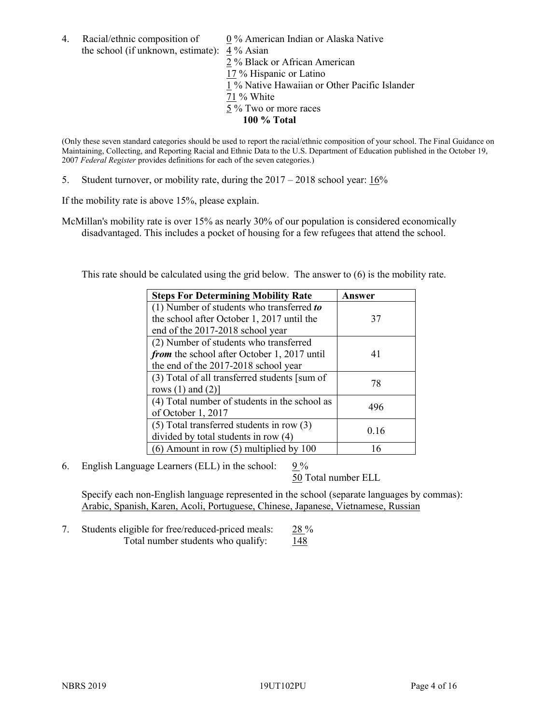4. Racial/ethnic composition of  $0\%$  American Indian or Alaska Native the school (if unknown, estimate): 4 % Asian

 % Black or African American % Hispanic or Latino % Native Hawaiian or Other Pacific Islander 71 % White % Two or more races **100 % Total**

(Only these seven standard categories should be used to report the racial/ethnic composition of your school. The Final Guidance on Maintaining, Collecting, and Reporting Racial and Ethnic Data to the U.S. Department of Education published in the October 19, 2007 *Federal Register* provides definitions for each of the seven categories.)

5. Student turnover, or mobility rate, during the 2017 – 2018 school year: 16%

If the mobility rate is above 15%, please explain.

McMillan's mobility rate is over 15% as nearly 30% of our population is considered economically disadvantaged. This includes a pocket of housing for a few refugees that attend the school.

This rate should be calculated using the grid below. The answer to (6) is the mobility rate.

| <b>Steps For Determining Mobility Rate</b>    | Answer |  |
|-----------------------------------------------|--------|--|
| (1) Number of students who transferred to     |        |  |
| the school after October 1, 2017 until the    | 37     |  |
| end of the 2017-2018 school year              |        |  |
| (2) Number of students who transferred        |        |  |
| from the school after October 1, 2017 until   | 41     |  |
| the end of the 2017-2018 school year          |        |  |
| (3) Total of all transferred students [sum of | 78     |  |
| rows $(1)$ and $(2)$ ]                        |        |  |
| (4) Total number of students in the school as | 496    |  |
| of October 1, 2017                            |        |  |
| $(5)$ Total transferred students in row $(3)$ |        |  |
| divided by total students in row (4)          | 0.16   |  |
| $(6)$ Amount in row $(5)$ multiplied by 100   | 16     |  |

6. English Language Learners (ELL) in the school: 9 %

50 Total number ELL

Specify each non-English language represented in the school (separate languages by commas): Arabic, Spanish, Karen, Acoli, Portuguese, Chinese, Japanese, Vietnamese, Russian

7. Students eligible for free/reduced-priced meals: 28 % Total number students who qualify:  $148$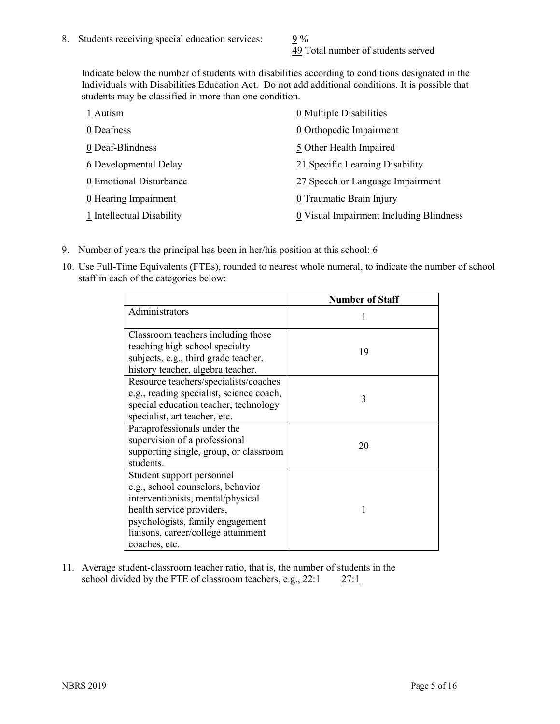49 Total number of students served

Indicate below the number of students with disabilities according to conditions designated in the Individuals with Disabilities Education Act. Do not add additional conditions. It is possible that students may be classified in more than one condition.

| 1 Autism                  | 0 Multiple Disabilities                 |
|---------------------------|-----------------------------------------|
| 0 Deafness                | 0 Orthopedic Impairment                 |
| 0 Deaf-Blindness          | 5 Other Health Impaired                 |
| 6 Developmental Delay     | 21 Specific Learning Disability         |
| 0 Emotional Disturbance   | 27 Speech or Language Impairment        |
| 0 Hearing Impairment      | 0 Traumatic Brain Injury                |
| 1 Intellectual Disability | 0 Visual Impairment Including Blindness |

- 9. Number of years the principal has been in her/his position at this school:  $6$
- 10. Use Full-Time Equivalents (FTEs), rounded to nearest whole numeral, to indicate the number of school staff in each of the categories below:

|                                                                                                                                                                                                                              | <b>Number of Staff</b> |
|------------------------------------------------------------------------------------------------------------------------------------------------------------------------------------------------------------------------------|------------------------|
| Administrators                                                                                                                                                                                                               |                        |
| Classroom teachers including those<br>teaching high school specialty<br>subjects, e.g., third grade teacher,<br>history teacher, algebra teacher.                                                                            | 19                     |
| Resource teachers/specialists/coaches<br>e.g., reading specialist, science coach,<br>special education teacher, technology<br>specialist, art teacher, etc.                                                                  | 3                      |
| Paraprofessionals under the<br>supervision of a professional<br>supporting single, group, or classroom<br>students.                                                                                                          | 20                     |
| Student support personnel<br>e.g., school counselors, behavior<br>interventionists, mental/physical<br>health service providers,<br>psychologists, family engagement<br>liaisons, career/college attainment<br>coaches, etc. |                        |

11. Average student-classroom teacher ratio, that is, the number of students in the school divided by the FTE of classroom teachers, e.g.,  $22:1$  27:1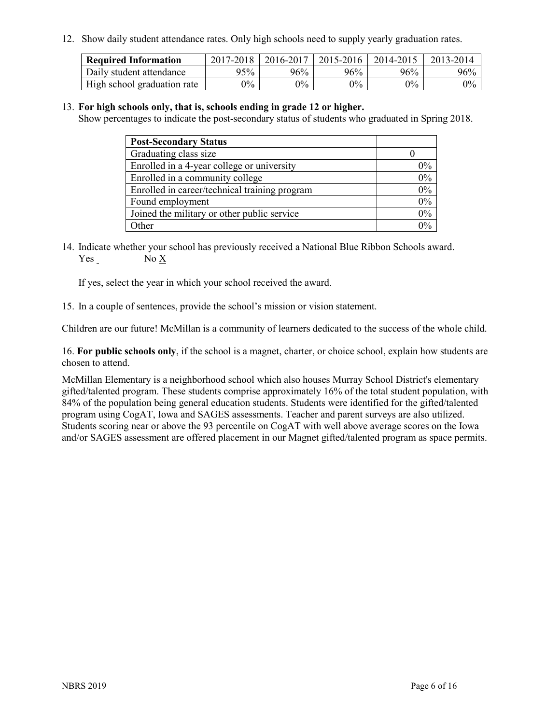12. Show daily student attendance rates. Only high schools need to supply yearly graduation rates.

| <b>Required Information</b> | 2017-2018 | 2016-2017 | 2015-2016 | 2014-2015 | 2013-2014 |
|-----------------------------|-----------|-----------|-----------|-----------|-----------|
| Daily student attendance    | 95%       | 96%       | 96%       | 96%       | 96%       |
| High school graduation rate | $0\%$     | $0\%$     | $0\%$     | $9\%$     | $0\%$     |

#### 13. **For high schools only, that is, schools ending in grade 12 or higher.**

Show percentages to indicate the post-secondary status of students who graduated in Spring 2018.

| <b>Post-Secondary Status</b>                  |       |
|-----------------------------------------------|-------|
| Graduating class size                         |       |
| Enrolled in a 4-year college or university    | $0\%$ |
| Enrolled in a community college               | 0%    |
| Enrolled in career/technical training program | 0%    |
| Found employment                              | 0%    |
| Joined the military or other public service   | 0%    |
| Other                                         | በ‰    |

14. Indicate whether your school has previously received a National Blue Ribbon Schools award. Yes No X

If yes, select the year in which your school received the award.

15. In a couple of sentences, provide the school's mission or vision statement.

Children are our future! McMillan is a community of learners dedicated to the success of the whole child.

16. **For public schools only**, if the school is a magnet, charter, or choice school, explain how students are chosen to attend.

McMillan Elementary is a neighborhood school which also houses Murray School District's elementary gifted/talented program. These students comprise approximately 16% of the total student population, with 84% of the population being general education students. Students were identified for the gifted/talented program using CogAT, Iowa and SAGES assessments. Teacher and parent surveys are also utilized. Students scoring near or above the 93 percentile on CogAT with well above average scores on the Iowa and/or SAGES assessment are offered placement in our Magnet gifted/talented program as space permits.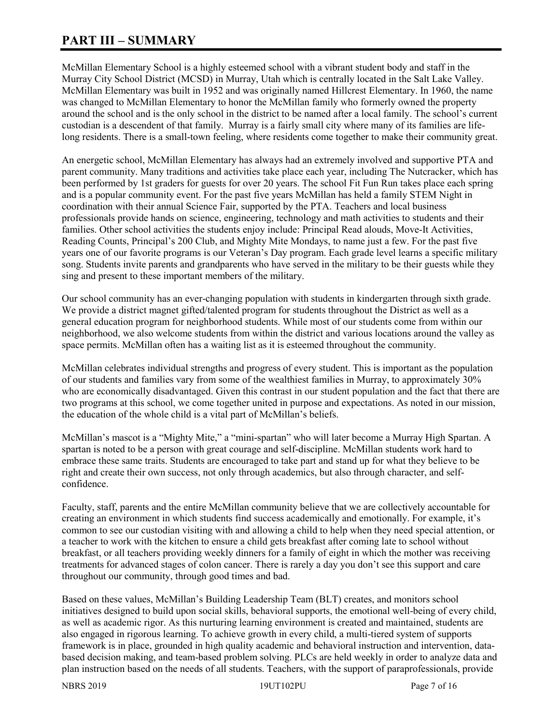# **PART III – SUMMARY**

McMillan Elementary School is a highly esteemed school with a vibrant student body and staff in the Murray City School District (MCSD) in Murray, Utah which is centrally located in the Salt Lake Valley. McMillan Elementary was built in 1952 and was originally named Hillcrest Elementary. In 1960, the name was changed to McMillan Elementary to honor the McMillan family who formerly owned the property around the school and is the only school in the district to be named after a local family. The school's current custodian is a descendent of that family. Murray is a fairly small city where many of its families are lifelong residents. There is a small-town feeling, where residents come together to make their community great.

An energetic school, McMillan Elementary has always had an extremely involved and supportive PTA and parent community. Many traditions and activities take place each year, including The Nutcracker, which has been performed by 1st graders for guests for over 20 years. The school Fit Fun Run takes place each spring and is a popular community event. For the past five years McMillan has held a family STEM Night in coordination with their annual Science Fair, supported by the PTA. Teachers and local business professionals provide hands on science, engineering, technology and math activities to students and their families. Other school activities the students enjoy include: Principal Read alouds, Move-It Activities, Reading Counts, Principal's 200 Club, and Mighty Mite Mondays, to name just a few. For the past five years one of our favorite programs is our Veteran's Day program. Each grade level learns a specific military song. Students invite parents and grandparents who have served in the military to be their guests while they sing and present to these important members of the military.

Our school community has an ever-changing population with students in kindergarten through sixth grade. We provide a district magnet gifted/talented program for students throughout the District as well as a general education program for neighborhood students. While most of our students come from within our neighborhood, we also welcome students from within the district and various locations around the valley as space permits. McMillan often has a waiting list as it is esteemed throughout the community.

McMillan celebrates individual strengths and progress of every student. This is important as the population of our students and families vary from some of the wealthiest families in Murray, to approximately 30% who are economically disadvantaged. Given this contrast in our student population and the fact that there are two programs at this school, we come together united in purpose and expectations. As noted in our mission, the education of the whole child is a vital part of McMillan's beliefs.

McMillan's mascot is a "Mighty Mite," a "mini-spartan" who will later become a Murray High Spartan. A spartan is noted to be a person with great courage and self-discipline. McMillan students work hard to embrace these same traits. Students are encouraged to take part and stand up for what they believe to be right and create their own success, not only through academics, but also through character, and selfconfidence.

Faculty, staff, parents and the entire McMillan community believe that we are collectively accountable for creating an environment in which students find success academically and emotionally. For example, it's common to see our custodian visiting with and allowing a child to help when they need special attention, or a teacher to work with the kitchen to ensure a child gets breakfast after coming late to school without breakfast, or all teachers providing weekly dinners for a family of eight in which the mother was receiving treatments for advanced stages of colon cancer. There is rarely a day you don't see this support and care throughout our community, through good times and bad.

Based on these values, McMillan's Building Leadership Team (BLT) creates, and monitors school initiatives designed to build upon social skills, behavioral supports, the emotional well-being of every child, as well as academic rigor. As this nurturing learning environment is created and maintained, students are also engaged in rigorous learning. To achieve growth in every child, a multi-tiered system of supports framework is in place, grounded in high quality academic and behavioral instruction and intervention, databased decision making, and team-based problem solving. PLCs are held weekly in order to analyze data and plan instruction based on the needs of all students. Teachers, with the support of paraprofessionals, provide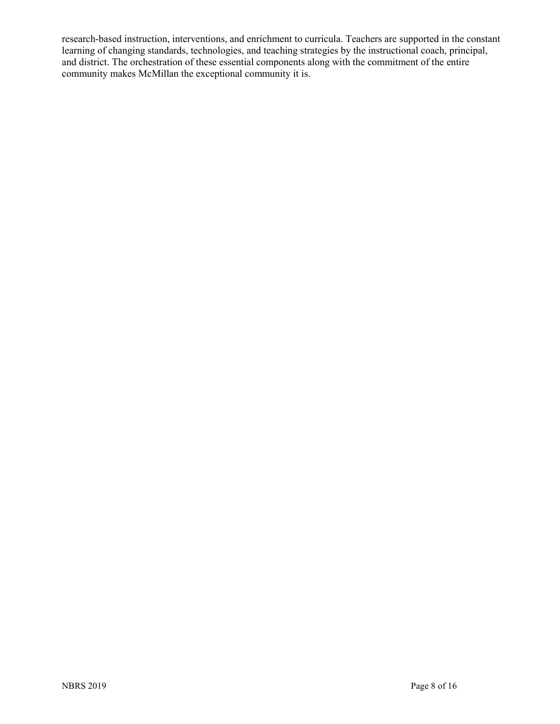research-based instruction, interventions, and enrichment to curricula. Teachers are supported in the constant learning of changing standards, technologies, and teaching strategies by the instructional coach, principal, and district. The orchestration of these essential components along with the commitment of the entire community makes McMillan the exceptional community it is.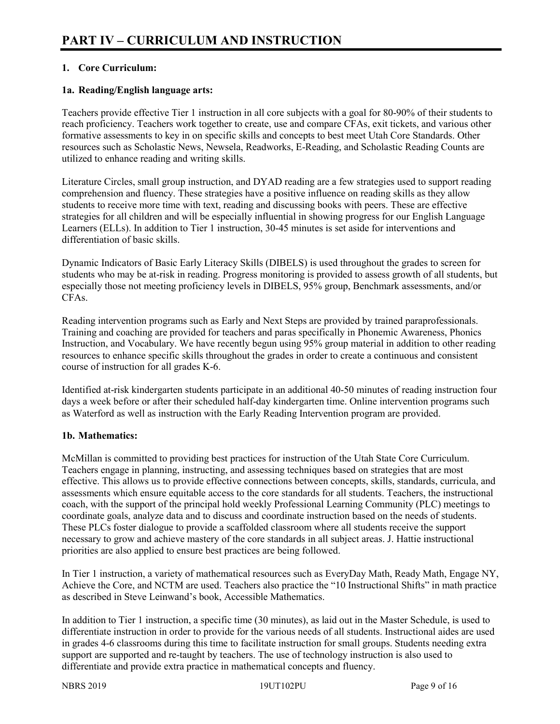# **1. Core Curriculum:**

## **1a. Reading/English language arts:**

Teachers provide effective Tier 1 instruction in all core subjects with a goal for 80-90% of their students to reach proficiency. Teachers work together to create, use and compare CFAs, exit tickets, and various other formative assessments to key in on specific skills and concepts to best meet Utah Core Standards. Other resources such as Scholastic News, Newsela, Readworks, E-Reading, and Scholastic Reading Counts are utilized to enhance reading and writing skills.

Literature Circles, small group instruction, and DYAD reading are a few strategies used to support reading comprehension and fluency. These strategies have a positive influence on reading skills as they allow students to receive more time with text, reading and discussing books with peers. These are effective strategies for all children and will be especially influential in showing progress for our English Language Learners (ELLs). In addition to Tier 1 instruction, 30-45 minutes is set aside for interventions and differentiation of basic skills.

Dynamic Indicators of Basic Early Literacy Skills (DIBELS) is used throughout the grades to screen for students who may be at-risk in reading. Progress monitoring is provided to assess growth of all students, but especially those not meeting proficiency levels in DIBELS, 95% group, Benchmark assessments, and/or CFAs.

Reading intervention programs such as Early and Next Steps are provided by trained paraprofessionals. Training and coaching are provided for teachers and paras specifically in Phonemic Awareness, Phonics Instruction, and Vocabulary. We have recently begun using 95% group material in addition to other reading resources to enhance specific skills throughout the grades in order to create a continuous and consistent course of instruction for all grades K-6.

Identified at-risk kindergarten students participate in an additional 40-50 minutes of reading instruction four days a week before or after their scheduled half-day kindergarten time. Online intervention programs such as Waterford as well as instruction with the Early Reading Intervention program are provided.

### **1b. Mathematics:**

McMillan is committed to providing best practices for instruction of the Utah State Core Curriculum. Teachers engage in planning, instructing, and assessing techniques based on strategies that are most effective. This allows us to provide effective connections between concepts, skills, standards, curricula, and assessments which ensure equitable access to the core standards for all students. Teachers, the instructional coach, with the support of the principal hold weekly Professional Learning Community (PLC) meetings to coordinate goals, analyze data and to discuss and coordinate instruction based on the needs of students. These PLCs foster dialogue to provide a scaffolded classroom where all students receive the support necessary to grow and achieve mastery of the core standards in all subject areas. J. Hattie instructional priorities are also applied to ensure best practices are being followed.

In Tier 1 instruction, a variety of mathematical resources such as EveryDay Math, Ready Math, Engage NY, Achieve the Core, and NCTM are used. Teachers also practice the "10 Instructional Shifts" in math practice as described in Steve Leinwand's book, Accessible Mathematics.

In addition to Tier 1 instruction, a specific time (30 minutes), as laid out in the Master Schedule, is used to differentiate instruction in order to provide for the various needs of all students. Instructional aides are used in grades 4-6 classrooms during this time to facilitate instruction for small groups. Students needing extra support are supported and re-taught by teachers. The use of technology instruction is also used to differentiate and provide extra practice in mathematical concepts and fluency.

NBRS 2019 19UT102PU Page 9 of 16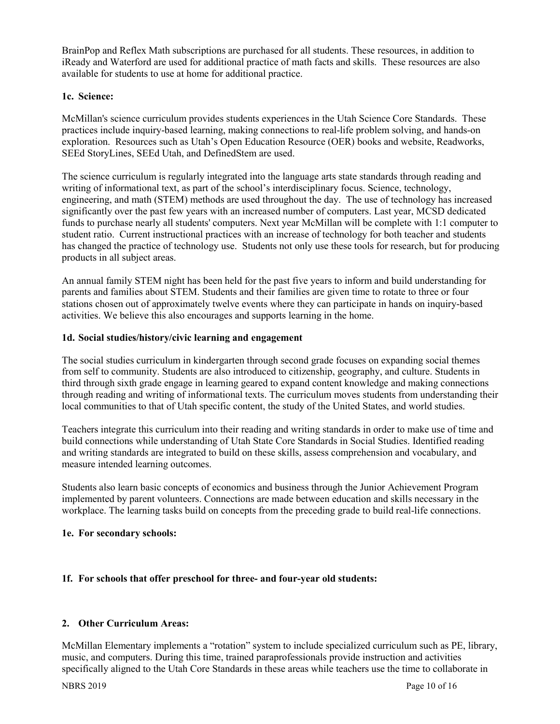BrainPop and Reflex Math subscriptions are purchased for all students. These resources, in addition to iReady and Waterford are used for additional practice of math facts and skills. These resources are also available for students to use at home for additional practice.

### **1c. Science:**

McMillan's science curriculum provides students experiences in the Utah Science Core Standards. These practices include inquiry-based learning, making connections to real-life problem solving, and hands-on exploration. Resources such as Utah's Open Education Resource (OER) books and website, Readworks, SEEd StoryLines, SEEd Utah, and DefinedStem are used.

The science curriculum is regularly integrated into the language arts state standards through reading and writing of informational text, as part of the school's interdisciplinary focus. Science, technology, engineering, and math (STEM) methods are used throughout the day. The use of technology has increased significantly over the past few years with an increased number of computers. Last year, MCSD dedicated funds to purchase nearly all students' computers. Next year McMillan will be complete with 1:1 computer to student ratio. Current instructional practices with an increase of technology for both teacher and students has changed the practice of technology use. Students not only use these tools for research, but for producing products in all subject areas.

An annual family STEM night has been held for the past five years to inform and build understanding for parents and families about STEM. Students and their families are given time to rotate to three or four stations chosen out of approximately twelve events where they can participate in hands on inquiry-based activities. We believe this also encourages and supports learning in the home.

#### **1d. Social studies/history/civic learning and engagement**

The social studies curriculum in kindergarten through second grade focuses on expanding social themes from self to community. Students are also introduced to citizenship, geography, and culture. Students in third through sixth grade engage in learning geared to expand content knowledge and making connections through reading and writing of informational texts. The curriculum moves students from understanding their local communities to that of Utah specific content, the study of the United States, and world studies.

Teachers integrate this curriculum into their reading and writing standards in order to make use of time and build connections while understanding of Utah State Core Standards in Social Studies. Identified reading and writing standards are integrated to build on these skills, assess comprehension and vocabulary, and measure intended learning outcomes.

Students also learn basic concepts of economics and business through the Junior Achievement Program implemented by parent volunteers. Connections are made between education and skills necessary in the workplace. The learning tasks build on concepts from the preceding grade to build real-life connections.

#### **1e. For secondary schools:**

#### **1f. For schools that offer preschool for three- and four-year old students:**

# **2. Other Curriculum Areas:**

McMillan Elementary implements a "rotation" system to include specialized curriculum such as PE, library, music, and computers. During this time, trained paraprofessionals provide instruction and activities specifically aligned to the Utah Core Standards in these areas while teachers use the time to collaborate in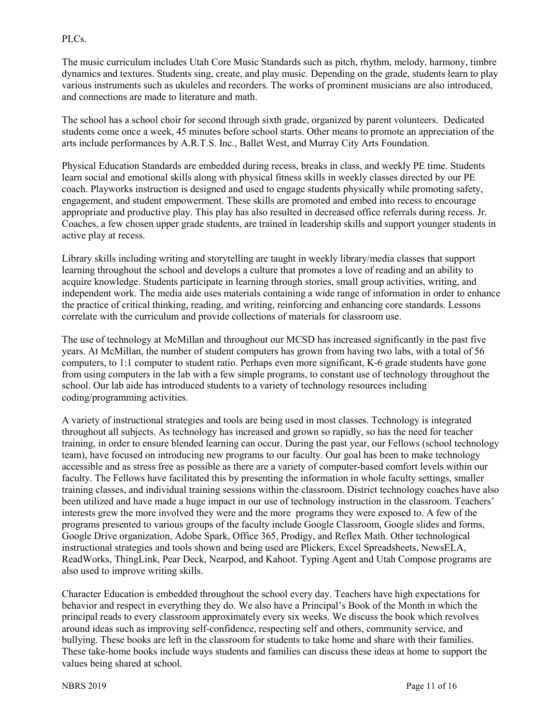#### PLCs.

The music curriculum includes Utah Core Music Standards such as pitch, rhythm, melody, harmony, timbre dynamics and textures. Students sing, create, and play music. Depending on the grade, students learn to play various instruments such as ukuleles and recorders. The works of prominent musicians are also introduced, and connections are made to literature and math.

The school has a school choir for second through sixth grade, organized by parent volunteers. Dedicated students come once a week, 45 minutes before school starts. Other means to promote an appreciation of the arts include performances by A.R.T.S. Inc., Ballet West, and Murray City Arts Foundation.

Physical Education Standards are embedded during recess, breaks in class, and weekly PE time. Students learn social and emotional skills along with physical fitness skills in weekly classes directed by our PE coach. Playworks instruction is designed and used to engage students physically while promoting safety, engagement, and student empowerment. These skills are promoted and embed into recess to encourage appropriate and productive play. This play has also resulted in decreased office referrals during recess. Jr. Coaches, a few chosen upper grade students, are trained in leadership skills and support younger students in active play at recess.

Library skills including writing and storytelling are taught in weekly library/media classes that support learning throughout the school and develops a culture that promotes a love of reading and an ability to acquire knowledge. Students participate in learning through stories, small group activities, writing, and independent work. The media aide uses materials containing a wide range of information in order to enhance the practice of critical thinking, reading, and writing, reinforcing and enhancing core standards. Lessons correlate with the curriculum and provide collections of materials for classroom use.

The use of technology at McMillan and throughout our MCSD has increased significantly in the past five years. At McMillan, the number of student computers has grown from having two labs, with a total of 56 computers, to 1:1 computer to student ratio. Perhaps even more significant, K-6 grade students have gone from using computers in the lab with a few simple programs, to constant use of technology throughout the school. Our lab aide has introduced students to a variety of technology resources including coding/programming activities.

A variety of instructional strategies and tools are being used in most classes. Technology is integrated throughout all subjects. As technology has increased and grown so rapidly, so has the need for teacher training, in order to ensure blended learning can occur. During the past year, our Fellows (school technology team), have focused on introducing new programs to our faculty. Our goal has been to make technology accessible and as stress free as possible as there are a variety of computer-based comfort levels within our faculty. The Fellows have facilitated this by presenting the information in whole faculty settings, smaller training classes, and individual training sessions within the classroom. District technology coaches have also been utilized and have made a huge impact in our use of technology instruction in the classroom. Teachers' interests grew the more involved they were and the more programs they were exposed to. A few of the programs presented to various groups of the faculty include Google Classroom, Google slides and forms, Google Drive organization, Adobe Spark, Office 365, Prodigy, and Reflex Math. Other technological instructional strategies and tools shown and being used are Plickers, Excel Spreadsheets, NewsELA, ReadWorks, ThingLink, Pear Deck, Nearpod, and Kahoot. Typing Agent and Utah Compose programs are also used to improve writing skills.

Character Education is embedded throughout the school every day. Teachers have high expectations for behavior and respect in everything they do. We also have a Principal's Book of the Month in which the principal reads to every classroom approximately every six weeks. We discuss the book which revolves around ideas such as improving self-confidence, respecting self and others, community service, and bullying. These books are left in the classroom for students to take home and share with their families. These take-home books include ways students and families can discuss these ideas at home to support the values being shared at school.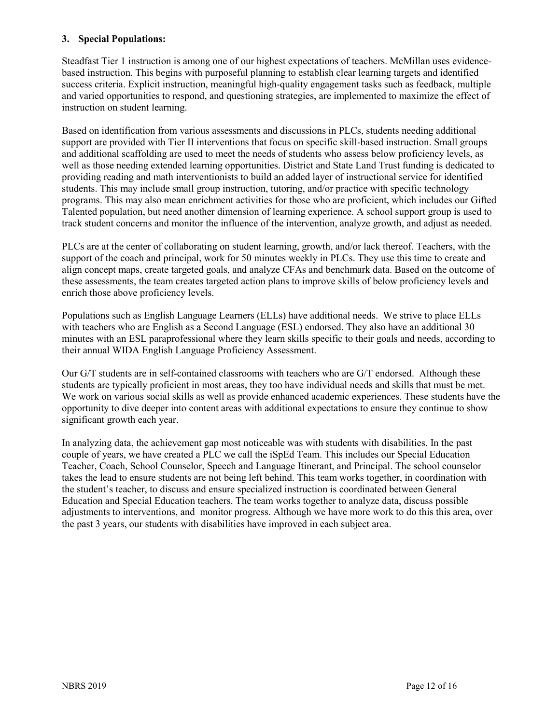#### **3. Special Populations:**

Steadfast Tier 1 instruction is among one of our highest expectations of teachers. McMillan uses evidencebased instruction. This begins with purposeful planning to establish clear learning targets and identified success criteria. Explicit instruction, meaningful high-quality engagement tasks such as feedback, multiple and varied opportunities to respond, and questioning strategies, are implemented to maximize the effect of instruction on student learning.

Based on identification from various assessments and discussions in PLCs, students needing additional support are provided with Tier II interventions that focus on specific skill-based instruction. Small groups and additional scaffolding are used to meet the needs of students who assess below proficiency levels, as well as those needing extended learning opportunities. District and State Land Trust funding is dedicated to providing reading and math interventionists to build an added layer of instructional service for identified students. This may include small group instruction, tutoring, and/or practice with specific technology programs. This may also mean enrichment activities for those who are proficient, which includes our Gifted Talented population, but need another dimension of learning experience. A school support group is used to track student concerns and monitor the influence of the intervention, analyze growth, and adjust as needed.

PLCs are at the center of collaborating on student learning, growth, and/or lack thereof. Teachers, with the support of the coach and principal, work for 50 minutes weekly in PLCs. They use this time to create and align concept maps, create targeted goals, and analyze CFAs and benchmark data. Based on the outcome of these assessments, the team creates targeted action plans to improve skills of below proficiency levels and enrich those above proficiency levels.

Populations such as English Language Learners (ELLs) have additional needs. We strive to place ELLs with teachers who are English as a Second Language (ESL) endorsed. They also have an additional 30 minutes with an ESL paraprofessional where they learn skills specific to their goals and needs, according to their annual WIDA English Language Proficiency Assessment.

Our G/T students are in self-contained classrooms with teachers who are G/T endorsed. Although these students are typically proficient in most areas, they too have individual needs and skills that must be met. We work on various social skills as well as provide enhanced academic experiences. These students have the opportunity to dive deeper into content areas with additional expectations to ensure they continue to show significant growth each year.

In analyzing data, the achievement gap most noticeable was with students with disabilities. In the past couple of years, we have created a PLC we call the iSpEd Team. This includes our Special Education Teacher, Coach, School Counselor, Speech and Language Itinerant, and Principal. The school counselor takes the lead to ensure students are not being left behind. This team works together, in coordination with the student's teacher, to discuss and ensure specialized instruction is coordinated between General Education and Special Education teachers. The team works together to analyze data, discuss possible adjustments to interventions, and monitor progress. Although we have more work to do this this area, over the past 3 years, our students with disabilities have improved in each subject area.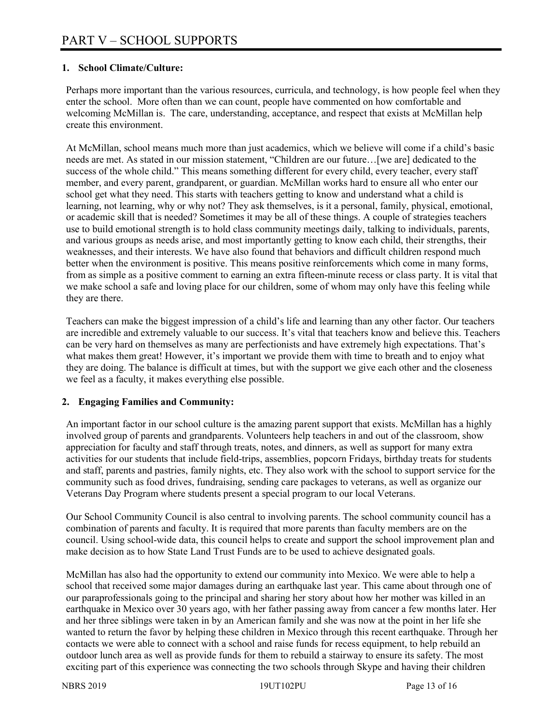### **1. School Climate/Culture:**

Perhaps more important than the various resources, curricula, and technology, is how people feel when they enter the school. More often than we can count, people have commented on how comfortable and welcoming McMillan is. The care, understanding, acceptance, and respect that exists at McMillan help create this environment.

At McMillan, school means much more than just academics, which we believe will come if a child's basic needs are met. As stated in our mission statement, "Children are our future…[we are] dedicated to the success of the whole child." This means something different for every child, every teacher, every staff member, and every parent, grandparent, or guardian. McMillan works hard to ensure all who enter our school get what they need. This starts with teachers getting to know and understand what a child is learning, not learning, why or why not? They ask themselves, is it a personal, family, physical, emotional, or academic skill that is needed? Sometimes it may be all of these things. A couple of strategies teachers use to build emotional strength is to hold class community meetings daily, talking to individuals, parents, and various groups as needs arise, and most importantly getting to know each child, their strengths, their weaknesses, and their interests. We have also found that behaviors and difficult children respond much better when the environment is positive. This means positive reinforcements which come in many forms, from as simple as a positive comment to earning an extra fifteen-minute recess or class party. It is vital that we make school a safe and loving place for our children, some of whom may only have this feeling while they are there.

Teachers can make the biggest impression of a child's life and learning than any other factor. Our teachers are incredible and extremely valuable to our success. It's vital that teachers know and believe this. Teachers can be very hard on themselves as many are perfectionists and have extremely high expectations. That's what makes them great! However, it's important we provide them with time to breath and to enjoy what they are doing. The balance is difficult at times, but with the support we give each other and the closeness we feel as a faculty, it makes everything else possible.

# **2. Engaging Families and Community:**

An important factor in our school culture is the amazing parent support that exists. McMillan has a highly involved group of parents and grandparents. Volunteers help teachers in and out of the classroom, show appreciation for faculty and staff through treats, notes, and dinners, as well as support for many extra activities for our students that include field-trips, assemblies, popcorn Fridays, birthday treats for students and staff, parents and pastries, family nights, etc. They also work with the school to support service for the community such as food drives, fundraising, sending care packages to veterans, as well as organize our Veterans Day Program where students present a special program to our local Veterans.

Our School Community Council is also central to involving parents. The school community council has a combination of parents and faculty. It is required that more parents than faculty members are on the council. Using school-wide data, this council helps to create and support the school improvement plan and make decision as to how State Land Trust Funds are to be used to achieve designated goals.

McMillan has also had the opportunity to extend our community into Mexico. We were able to help a school that received some major damages during an earthquake last year. This came about through one of our paraprofessionals going to the principal and sharing her story about how her mother was killed in an earthquake in Mexico over 30 years ago, with her father passing away from cancer a few months later. Her and her three siblings were taken in by an American family and she was now at the point in her life she wanted to return the favor by helping these children in Mexico through this recent earthquake. Through her contacts we were able to connect with a school and raise funds for recess equipment, to help rebuild an outdoor lunch area as well as provide funds for them to rebuild a stairway to ensure its safety. The most exciting part of this experience was connecting the two schools through Skype and having their children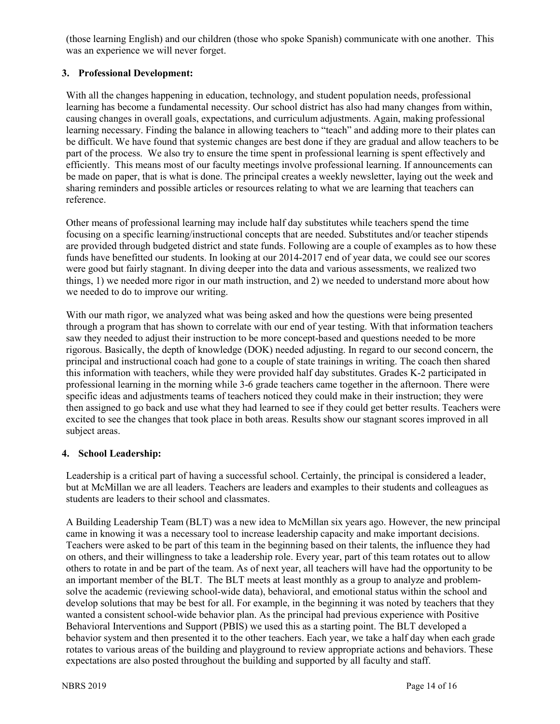(those learning English) and our children (those who spoke Spanish) communicate with one another. This was an experience we will never forget.

# **3. Professional Development:**

With all the changes happening in education, technology, and student population needs, professional learning has become a fundamental necessity. Our school district has also had many changes from within, causing changes in overall goals, expectations, and curriculum adjustments. Again, making professional learning necessary. Finding the balance in allowing teachers to "teach" and adding more to their plates can be difficult. We have found that systemic changes are best done if they are gradual and allow teachers to be part of the process. We also try to ensure the time spent in professional learning is spent effectively and efficiently. This means most of our faculty meetings involve professional learning. If announcements can be made on paper, that is what is done. The principal creates a weekly newsletter, laying out the week and sharing reminders and possible articles or resources relating to what we are learning that teachers can reference.

Other means of professional learning may include half day substitutes while teachers spend the time focusing on a specific learning/instructional concepts that are needed. Substitutes and/or teacher stipends are provided through budgeted district and state funds. Following are a couple of examples as to how these funds have benefitted our students. In looking at our 2014-2017 end of year data, we could see our scores were good but fairly stagnant. In diving deeper into the data and various assessments, we realized two things, 1) we needed more rigor in our math instruction, and 2) we needed to understand more about how we needed to do to improve our writing.

With our math rigor, we analyzed what was being asked and how the questions were being presented through a program that has shown to correlate with our end of year testing. With that information teachers saw they needed to adjust their instruction to be more concept-based and questions needed to be more rigorous. Basically, the depth of knowledge (DOK) needed adjusting. In regard to our second concern, the principal and instructional coach had gone to a couple of state trainings in writing. The coach then shared this information with teachers, while they were provided half day substitutes. Grades K-2 participated in professional learning in the morning while 3-6 grade teachers came together in the afternoon. There were specific ideas and adjustments teams of teachers noticed they could make in their instruction; they were then assigned to go back and use what they had learned to see if they could get better results. Teachers were excited to see the changes that took place in both areas. Results show our stagnant scores improved in all subject areas.

# **4. School Leadership:**

Leadership is a critical part of having a successful school. Certainly, the principal is considered a leader, but at McMillan we are all leaders. Teachers are leaders and examples to their students and colleagues as students are leaders to their school and classmates.

A Building Leadership Team (BLT) was a new idea to McMillan six years ago. However, the new principal came in knowing it was a necessary tool to increase leadership capacity and make important decisions. Teachers were asked to be part of this team in the beginning based on their talents, the influence they had on others, and their willingness to take a leadership role. Every year, part of this team rotates out to allow others to rotate in and be part of the team. As of next year, all teachers will have had the opportunity to be an important member of the BLT. The BLT meets at least monthly as a group to analyze and problemsolve the academic (reviewing school-wide data), behavioral, and emotional status within the school and develop solutions that may be best for all. For example, in the beginning it was noted by teachers that they wanted a consistent school-wide behavior plan. As the principal had previous experience with Positive Behavioral Interventions and Support (PBIS) we used this as a starting point. The BLT developed a behavior system and then presented it to the other teachers. Each year, we take a half day when each grade rotates to various areas of the building and playground to review appropriate actions and behaviors. These expectations are also posted throughout the building and supported by all faculty and staff.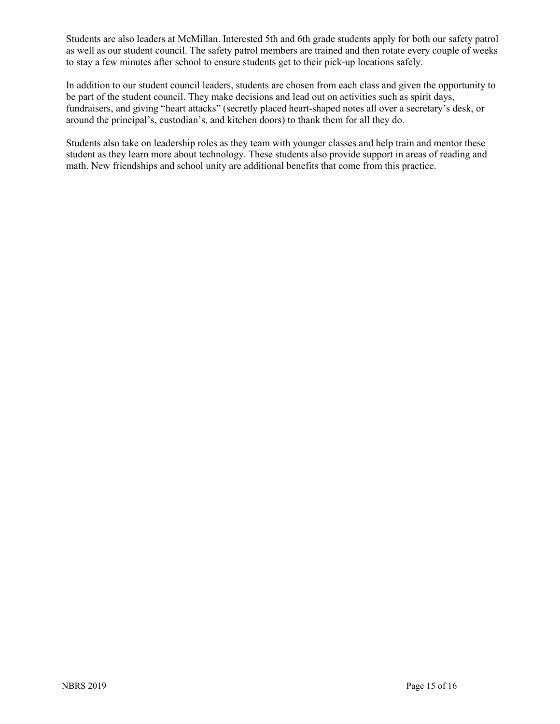Students are also leaders at McMillan. Interested 5th and 6th grade students apply for both our safety patrol as well as our student council. The safety patrol members are trained and then rotate every couple of weeks to stay a few minutes after school to ensure students get to their pick-up locations safely.

In addition to our student council leaders, students are chosen from each class and given the opportunity to be part of the student council. They make decisions and lead out on activities such as spirit days, fundraisers, and giving "heart attacks" (secretly placed heart-shaped notes all over a secretary's desk, or around the principal's, custodian's, and kitchen doors) to thank them for all they do.

Students also take on leadership roles as they team with younger classes and help train and mentor these student as they learn more about technology. These students also provide support in areas of reading and math. New friendships and school unity are additional benefits that come from this practice.